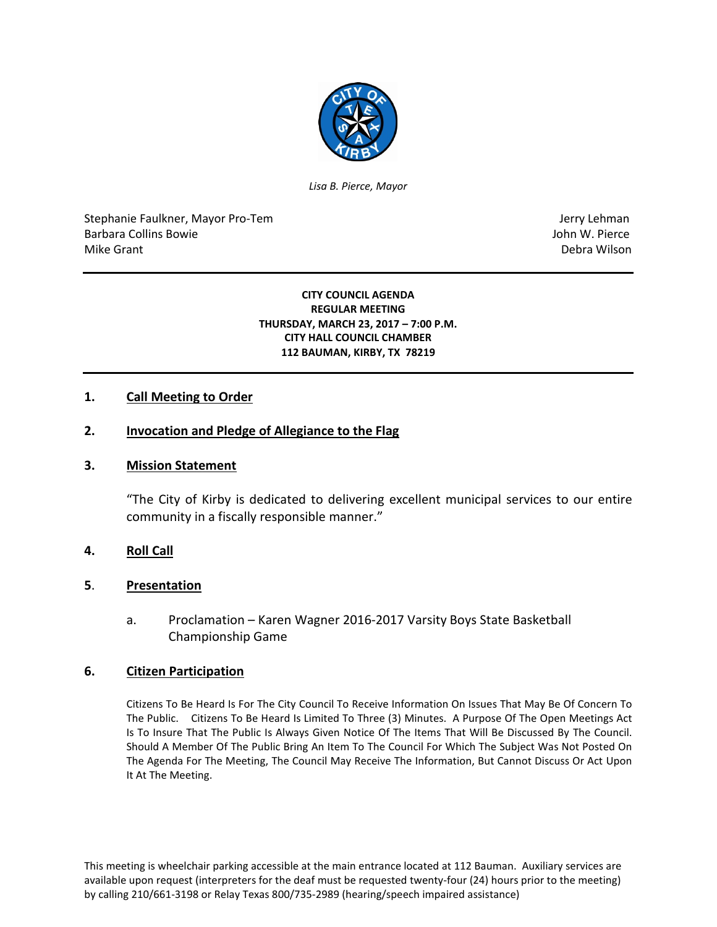

*Lisa B. Pierce, Mayor*

Stephanie Faulkner, Mayor Pro-Tem Jerry Lehman Jerry Lehman Barbara Collins Bowie John W. Pierce Mike Grant **Debra Wilson** 

### **CITY COUNCIL AGENDA REGULAR MEETING THURSDAY, MARCH 23, 2017 – 7:00 P.M. CITY HALL COUNCIL CHAMBER 112 BAUMAN, KIRBY, TX 78219**

## **1. Call Meeting to Order**

## **2. Invocation and Pledge of Allegiance to the Flag**

### **3. Mission Statement**

"The City of Kirby is dedicated to delivering excellent municipal services to our entire community in a fiscally responsible manner."

### **4. Roll Call**

### **5**. **Presentation**

a. Proclamation – Karen Wagner 2016-2017 Varsity Boys State Basketball Championship Game

### **6. Citizen Participation**

Citizens To Be Heard Is For The City Council To Receive Information On Issues That May Be Of Concern To The Public. Citizens To Be Heard Is Limited To Three (3) Minutes. A Purpose Of The Open Meetings Act Is To Insure That The Public Is Always Given Notice Of The Items That Will Be Discussed By The Council. Should A Member Of The Public Bring An Item To The Council For Which The Subject Was Not Posted On The Agenda For The Meeting, The Council May Receive The Information, But Cannot Discuss Or Act Upon It At The Meeting.

This meeting is wheelchair parking accessible at the main entrance located at 112 Bauman. Auxiliary services are available upon request (interpreters for the deaf must be requested twenty-four (24) hours prior to the meeting) by calling 210/661-3198 or Relay Texas 800/735-2989 (hearing/speech impaired assistance)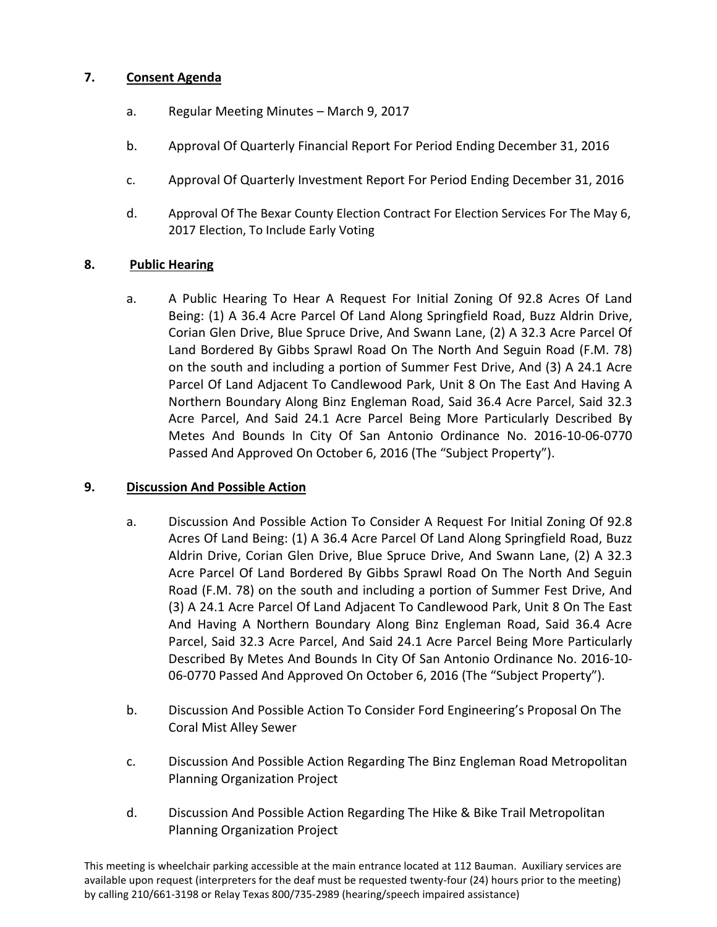# **7. Consent Agenda**

- a. Regular Meeting Minutes March 9, 2017
- b. Approval Of Quarterly Financial Report For Period Ending December 31, 2016
- c. Approval Of Quarterly Investment Report For Period Ending December 31, 2016
- d. Approval Of The Bexar County Election Contract For Election Services For The May 6, 2017 Election, To Include Early Voting

## **8. Public Hearing**

a. A Public Hearing To Hear A Request For Initial Zoning Of 92.8 Acres Of Land Being: (1) A 36.4 Acre Parcel Of Land Along Springfield Road, Buzz Aldrin Drive, Corian Glen Drive, Blue Spruce Drive, And Swann Lane, (2) A 32.3 Acre Parcel Of Land Bordered By Gibbs Sprawl Road On The North And Seguin Road (F.M. 78) on the south and including a portion of Summer Fest Drive, And (3) A 24.1 Acre Parcel Of Land Adjacent To Candlewood Park, Unit 8 On The East And Having A Northern Boundary Along Binz Engleman Road, Said 36.4 Acre Parcel, Said 32.3 Acre Parcel, And Said 24.1 Acre Parcel Being More Particularly Described By Metes And Bounds In City Of San Antonio Ordinance No. 2016-10-06-0770 Passed And Approved On October 6, 2016 (The "Subject Property").

## **9. Discussion And Possible Action**

- a. Discussion And Possible Action To Consider A Request For Initial Zoning Of 92.8 Acres Of Land Being: (1) A 36.4 Acre Parcel Of Land Along Springfield Road, Buzz Aldrin Drive, Corian Glen Drive, Blue Spruce Drive, And Swann Lane, (2) A 32.3 Acre Parcel Of Land Bordered By Gibbs Sprawl Road On The North And Seguin Road (F.M. 78) on the south and including a portion of Summer Fest Drive, And (3) A 24.1 Acre Parcel Of Land Adjacent To Candlewood Park, Unit 8 On The East And Having A Northern Boundary Along Binz Engleman Road, Said 36.4 Acre Parcel, Said 32.3 Acre Parcel, And Said 24.1 Acre Parcel Being More Particularly Described By Metes And Bounds In City Of San Antonio Ordinance No. 2016-10- 06-0770 Passed And Approved On October 6, 2016 (The "Subject Property").
- b. Discussion And Possible Action To Consider Ford Engineering's Proposal On The Coral Mist Alley Sewer
- c. Discussion And Possible Action Regarding The Binz Engleman Road Metropolitan Planning Organization Project
- d. Discussion And Possible Action Regarding The Hike & Bike Trail Metropolitan Planning Organization Project

This meeting is wheelchair parking accessible at the main entrance located at 112 Bauman. Auxiliary services are available upon request (interpreters for the deaf must be requested twenty-four (24) hours prior to the meeting) by calling 210/661-3198 or Relay Texas 800/735-2989 (hearing/speech impaired assistance)